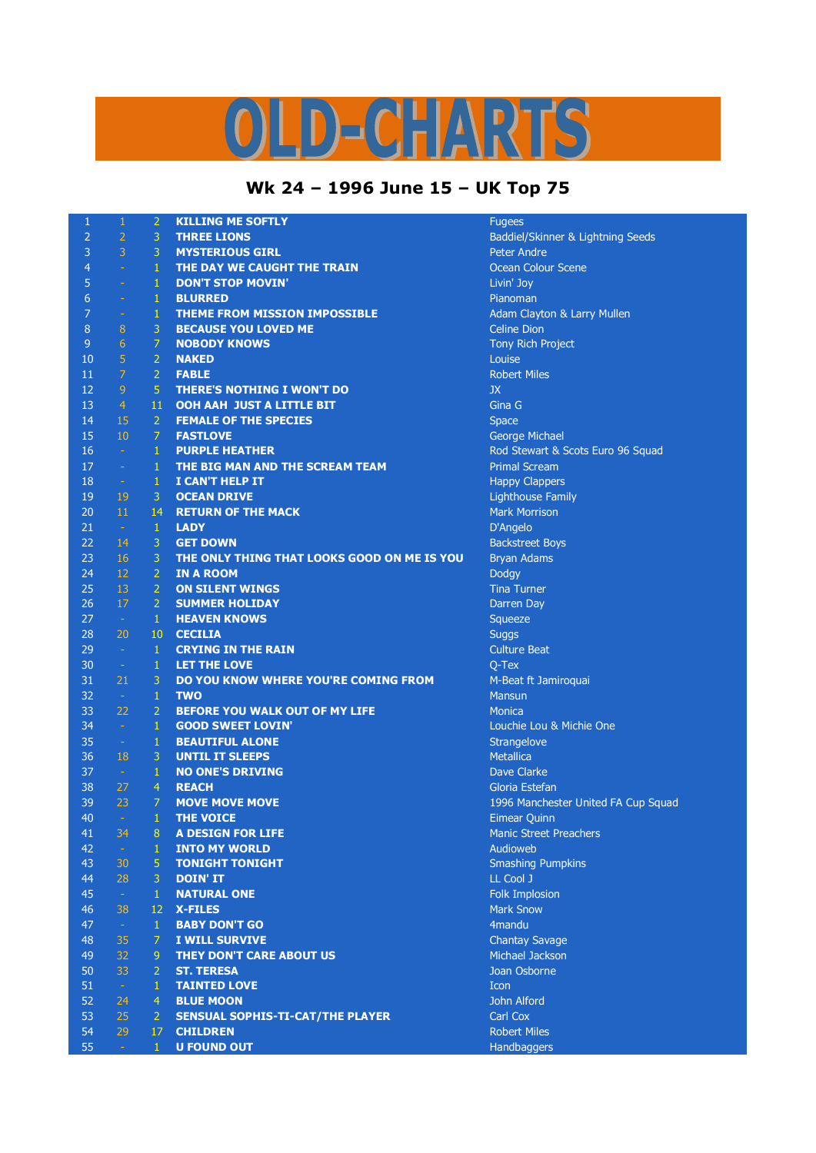## LD-CHARTS

## **Wk 24 – 1996 June 15 – UK Top 75**

| $\mathbf{1}$   | $\,1\,$          | $\overline{2}$ | <b>KILLING ME SOFTLY</b>                    | <b>Fugees</b>                       |
|----------------|------------------|----------------|---------------------------------------------|-------------------------------------|
| $\overline{2}$ | $\overline{2}$   | $\mathsf 3$    | <b>THREE LIONS</b>                          | Baddiel/Skinner & Lightning Seeds   |
| 3              | 3                | 3              | <b>MYSTERIOUS GIRL</b>                      | <b>Peter Andre</b>                  |
| 4              | $\omega$         | $\mathbf{1}$   | THE DAY WE CAUGHT THE TRAIN                 | Ocean Colour Scene                  |
| 5              | $\equiv$         | $\,1\,$        | <b>DON'T STOP MOVIN'</b>                    | Livin' Joy                          |
| 6              | $\equiv$         | $\mathbf{1}$   | <b>BLURRED</b>                              | Pianoman                            |
| 7              | $\equiv$         | $\mathbf{1}$   | <b>THEME FROM MISSION IMPOSSIBLE</b>        | Adam Clayton & Larry Mullen         |
| 8              | 8                | $\overline{3}$ | <b>BECAUSE YOU LOVED ME</b>                 | <b>Celine Dion</b>                  |
| 9              | $6\phantom{.}6$  | $\overline{7}$ | <b>NOBODY KNOWS</b>                         | Tony Rich Project                   |
| 10             | $\overline{5}$   | $\overline{2}$ | <b>NAKED</b>                                | Louise                              |
| 11             | $\overline{7}$   | $\overline{2}$ | <b>FABLE</b>                                | <b>Robert Miles</b>                 |
| 12             | $\overline{9}$   | $\overline{5}$ | <b>THERE'S NOTHING I WON'T DO</b>           | JX                                  |
| 13             | $\overline{4}$   | 11             | <b>OOH AAH JUST A LITTLE BIT</b>            | Gina G                              |
| 14             | 15               | $\overline{2}$ | <b>FEMALE OF THE SPECIES</b>                | <b>Space</b>                        |
| 15             | 10               | $\overline{7}$ | <b>FASTLOVE</b>                             | George Michael                      |
| 16             | $\sim$           | $\,1\,$        | <b>PURPLE HEATHER</b>                       | Rod Stewart & Scots Euro 96 Squad   |
| 17             | $\rightarrow$    | $\mathbf{1}$   | THE BIG MAN AND THE SCREAM TEAM             | <b>Primal Scream</b>                |
| 18             | $\sim$           | $\mathbf{1}$   | I CAN'T HELP IT                             | <b>Happy Clappers</b>               |
| 19             | 19               | 3              | <b>OCEAN DRIVE</b>                          | <b>Lighthouse Family</b>            |
| 20             | 11               | 14             | <b>RETURN OF THE MACK</b>                   | <b>Mark Morrison</b>                |
| 21             | $\sim$           | $\mathbf{1}$   | <b>LADY</b>                                 | D'Angelo                            |
| 22             | 14               | $\mathbf{3}$   | <b>GET DOWN</b>                             | <b>Backstreet Boys</b>              |
| 23             | 16               | $\overline{3}$ | THE ONLY THING THAT LOOKS GOOD ON ME IS YOU | <b>Bryan Adams</b>                  |
| 24             | 12               | $\overline{2}$ | <b>IN A ROOM</b>                            | <b>Dodgy</b>                        |
| 25             | 13               | $\overline{2}$ | <b>ON SILENT WINGS</b>                      | <b>Tina Turner</b>                  |
| 26             | 17               | $\overline{2}$ | <b>SUMMER HOLIDAY</b>                       | Darren Day                          |
| 27             | $\sim$           | $\mathbf{1}$   | <b>HEAVEN KNOWS</b>                         | Squeeze                             |
| 28             | 20               | 10             | <b>CECILIA</b>                              | <b>Suggs</b>                        |
| 29             | $\sim$           | $\mathbf{1}$   | <b>CRYING IN THE RAIN</b>                   | <b>Culture Beat</b>                 |
| 30             | $\sim$           | $\,1\,$        | LET THE LOVE                                | $Q-Text$                            |
| 31             | 21               | 3              | DO YOU KNOW WHERE YOU'RE COMING FROM        | M-Beat ft Jamiroquai                |
| 32             | $\sim$           | $\mathbf{1}$   | <b>TWO</b>                                  | <b>Mansun</b>                       |
| 33             | 22               | $\overline{2}$ | <b>BEFORE YOU WALK OUT OF MY LIFE</b>       | <b>Monica</b>                       |
| 34             | $\sim$           | $\mathbf{1}$   | <b>GOOD SWEET LOVIN'</b>                    | Louchie Lou & Michie One            |
| 35             | $\rightarrow$    | $\mathbf{1}$   | <b>BEAUTIFUL ALONE</b>                      | Strangelove                         |
| 36             | 18               | $\mathbf{3}$   | <b>UNTIL IT SLEEPS</b>                      | Metallica                           |
| 37             | $\sim$           | $\,1\,$        | <b>NO ONE'S DRIVING</b>                     | Dave Clarke                         |
| 38             | 27               | $\overline{4}$ | <b>REACH</b>                                | Gloria Estefan                      |
| 39             | 23               | 7              | <b>MOVE MOVE MOVE</b>                       | 1996 Manchester United FA Cup Squad |
| 40             | $\sim$           | $\mathbf{1}$   | <b>THE VOICE</b>                            | <b>Eimear Quinn</b>                 |
| 41             | 34               | 8              | <b>A DESIGN FOR LIFE</b>                    | <b>Manic Street Preachers</b>       |
| 42             | $\omega$         | $\mathbf{1}$   | <b>INTO MY WORLD</b>                        | Audioweb                            |
| 43             | 30               | 5              | <b>TONIGHT TONIGHT</b>                      | <b>Smashing Pumpkins</b>            |
| 44             | 28               | $\overline{3}$ | <b>DOIN' IT</b>                             | LL Cool J                           |
| 45             | $\omega$         | $\,1\,$        | <b>NATURAL ONE</b>                          | Folk Implosion                      |
| 46             | 38               | 12             | <b>X-FILES</b>                              | <b>Mark Snow</b>                    |
| 47             | $\omega$         | $\mathbf{1}$   | <b>BABY DON'T GO</b>                        | 4mandu                              |
| 48             | 35               | 7              | <b>I WILL SURVIVE</b>                       | <b>Chantay Savage</b>               |
| 49             | 32               | 9              | <b>THEY DON'T CARE ABOUT US</b>             | Michael Jackson                     |
| 50             | 33               | $\overline{2}$ | <b>ST. TERESA</b>                           | Joan Osborne                        |
| 51             | $\omega_{\rm c}$ | $\mathbf{1}$   | <b>TAINTED LOVE</b>                         | Icon                                |
| 52             | 24               | $\overline{4}$ | <b>BLUE MOON</b>                            | John Alford                         |
| 53             | 25               | 2              | <b>SENSUAL SOPHIS-TI-CAT/THE PLAYER</b>     | <b>Carl Cox</b>                     |
| 54             | 29               | 17             | <b>CHILDREN</b>                             | <b>Robert Miles</b>                 |
| 55             | $\omega_{\rm c}$ | $\mathbf{1}$   | <b>U FOUND OUT</b>                          | Handbaggers                         |